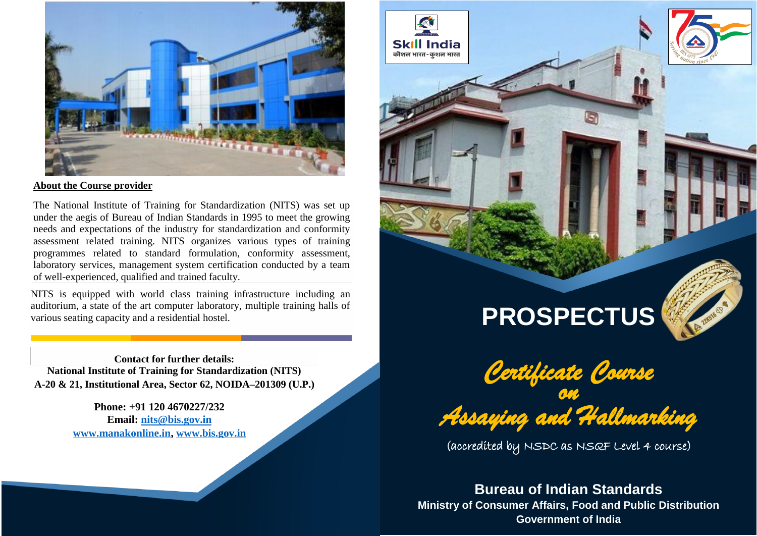

## **About the Course provider**

The National Institute of Training for Standardization (NITS) was set up under the aegis of Bureau of Indian Standards in 1995 to meet the growing needs and expectations of the industry for standardization and conformity assessment related training. NITS organizes various types of training programmes related to standard formulation, conformity assessment, laboratory services, management system certification conducted by a team of well-experienced, qualified and trained faculty.

NITS is equipped with world class training infrastructure including an auditorium, a state of the art computer laboratory, multiple training halls of various seating capacity and a residential hostel.

**Contact for further details: National Institute of Training for Standardization (NITS) A-20 & 21, Institutional Area, Sector 62, NOIDA–201309 (U.P.)**

> **Phone: +91 120 4670227/232 Email: [nits@bis.gov.in](mailto:nits@bis.gov.in) [www.manakonline.in,](http://www.manakonline.in/) [www.bis.gov.in](http://www.bis.gov.in/)**



**Skill India** कौशल भारत-कशल भारत

# **PROSPECTUS**



(accredited by NSDC as NSQF Level 4 course)

**Bureau of Indian Standards Ministry of Consumer Affairs, Food and Public Distribution Government of India**